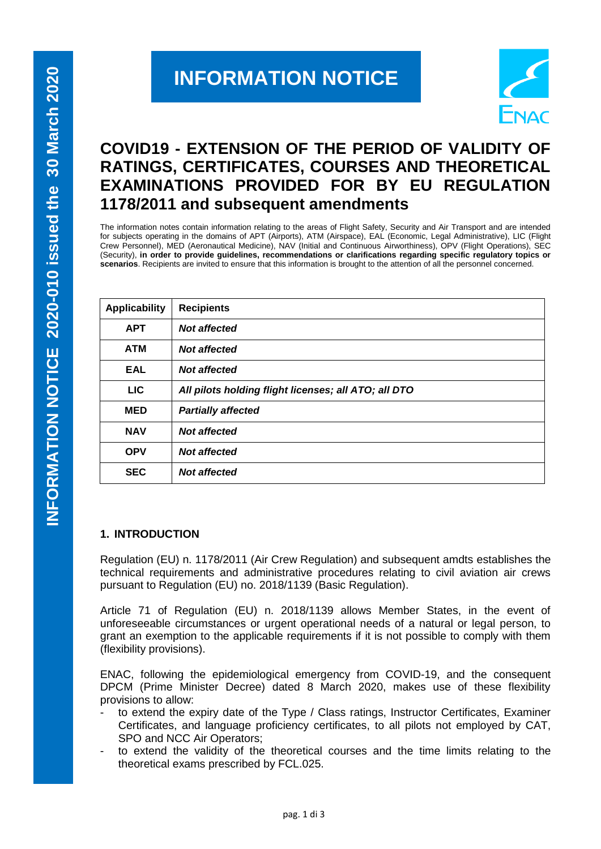# **INFORMATION NOTICE**



# **COVID19 - EXTENSION OF THE PERIOD OF VALIDITY OF RATINGS, CERTIFICATES, COURSES AND THEORETICAL EXAMINATIONS PROVIDED FOR BY EU REGULATION 1178/2011 and subsequent amendments**

The information notes contain information relating to the areas of Flight Safety, Security and Air Transport and are intended for subjects operating in the domains of APT (Airports), ATM (Airspace), EAL (Economic, Legal Administrative), LIC (Flight Crew Personnel), MED (Aeronautical Medicine), NAV (Initial and Continuous Airworthiness), OPV (Flight Operations), SEC (Security), **in order to provide guidelines, recommendations or clarifications regarding specific regulatory topics or scenarios**. Recipients are invited to ensure that this information is brought to the attention of all the personnel concerned.

| <b>Applicability</b> | <b>Recipients</b>                                    |
|----------------------|------------------------------------------------------|
| <b>APT</b>           | <b>Not affected</b>                                  |
| <b>ATM</b>           | <b>Not affected</b>                                  |
| <b>EAL</b>           | <b>Not affected</b>                                  |
| <b>LIC</b>           | All pilots holding flight licenses; all ATO; all DTO |
| <b>MED</b>           | <b>Partially affected</b>                            |
| <b>NAV</b>           | <b>Not affected</b>                                  |
| <b>OPV</b>           | <b>Not affected</b>                                  |
| <b>SEC</b>           | <b>Not affected</b>                                  |

#### **1. INTRODUCTION**

Regulation (EU) n. 1178/2011 (Air Crew Regulation) and subsequent amdts establishes the technical requirements and administrative procedures relating to civil aviation air crews pursuant to Regulation (EU) no. 2018/1139 (Basic Regulation).

Article 71 of Regulation (EU) n. 2018/1139 allows Member States, in the event of unforeseeable circumstances or urgent operational needs of a natural or legal person, to grant an exemption to the applicable requirements if it is not possible to comply with them (flexibility provisions).

ENAC, following the epidemiological emergency from COVID-19, and the consequent DPCM (Prime Minister Decree) dated 8 March 2020, makes use of these flexibility provisions to allow:

- to extend the expiry date of the Type / Class ratings, Instructor Certificates, Examiner Certificates, and language proficiency certificates, to all pilots not employed by CAT, SPO and NCC Air Operators;
- to extend the validity of the theoretical courses and the time limits relating to the theoretical exams prescribed by FCL.025.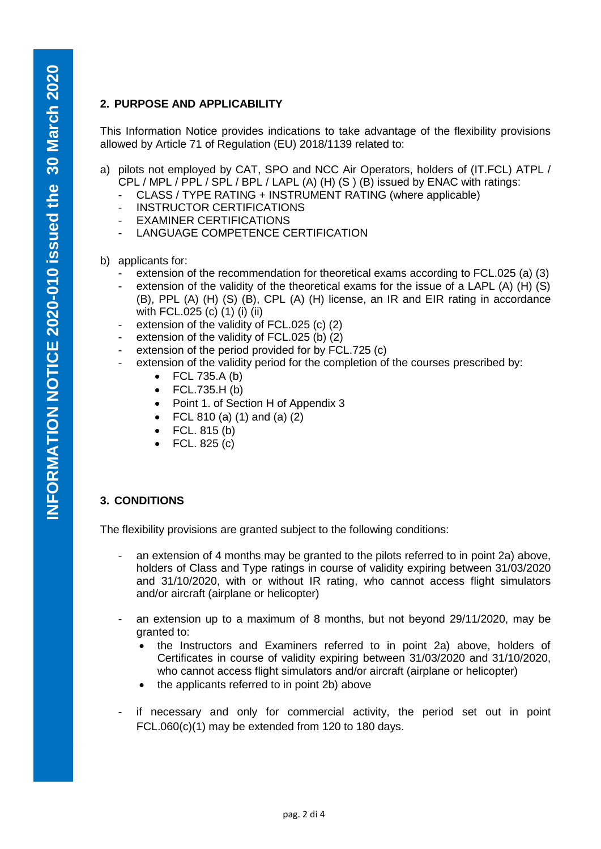# **2. PURPOSE AND APPLICABILITY**

This Information Notice provides indications to take advantage of the flexibility provisions allowed by Article 71 of Regulation (EU) 2018/1139 related to:

- a) pilots not employed by CAT, SPO and NCC Air Operators, holders of (IT.FCL) ATPL / CPL / MPL / PPL / SPL / BPL / LAPL (A) (H) (S ) (B) issued by ENAC with ratings:
	- CLASS / TYPE RATING + INSTRUMENT RATING (where applicable)
	- INSTRUCTOR CERTIFICATIONS
	- EXAMINER CERTIFICATIONS
	- LANGUAGE COMPETENCE CERTIFICATION
- b) applicants for:
	- extension of the recommendation for theoretical exams according to FCL.025 (a) (3)
	- extension of the validity of the theoretical exams for the issue of a LAPL (A)  $(H)$  (S) (B), PPL (A) (H) (S) (B), CPL (A) (H) license, an IR and EIR rating in accordance with FCL.025 (c) (1) (i) (ii)
	- extension of the validity of FCL.025 (c) (2)
	- extension of the validity of FCL.025 (b) (2)
	- extension of the period provided for by FCL.725 (c)
	- extension of the validity period for the completion of the courses prescribed by:
		- $\bullet$  FCL 735.A (b)
		- $\bullet$  FCL.735.H (b)
		- Point 1. of Section H of Appendix 3
		- FCL 810 (a) (1) and (a) (2)
		- $\bullet$  FCL. 815 (b)
		- FCL. 825 (c)

### **3. CONDITIONS**

The flexibility provisions are granted subject to the following conditions:

- an extension of 4 months may be granted to the pilots referred to in point 2a) above, holders of Class and Type ratings in course of validity expiring between 31/03/2020 and 31/10/2020, with or without IR rating, who cannot access flight simulators and/or aircraft (airplane or helicopter)
- an extension up to a maximum of 8 months, but not beyond 29/11/2020, may be granted to:
	- the Instructors and Examiners referred to in point 2a) above, holders of Certificates in course of validity expiring between 31/03/2020 and 31/10/2020, who cannot access flight simulators and/or aircraft (airplane or helicopter)
	- the applicants referred to in point 2b) above
- if necessary and only for commercial activity, the period set out in point FCL.060(c)(1) may be extended from 120 to 180 days.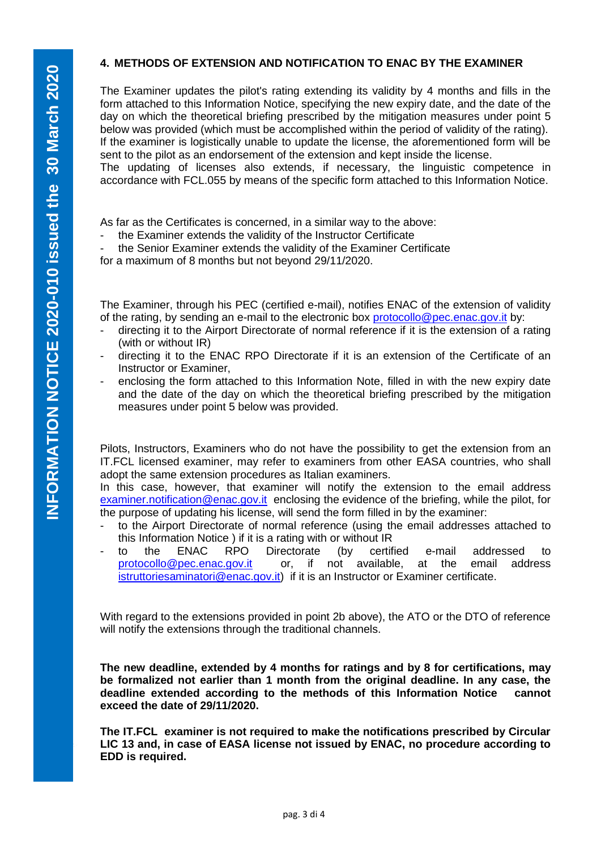#### **4. METHODS OF EXTENSION AND NOTIFICATION TO ENAC BY THE EXAMINER**

The Examiner updates the pilot's rating extending its validity by 4 months and fills in the form attached to this Information Notice, specifying the new expiry date, and the date of the day on which the theoretical briefing prescribed by the mitigation measures under point 5 below was provided (which must be accomplished within the period of validity of the rating). If the examiner is logistically unable to update the license, the aforementioned form will be sent to the pilot as an endorsement of the extension and kept inside the license.

The updating of licenses also extends, if necessary, the linguistic competence in accordance with FCL.055 by means of the specific form attached to this Information Notice.

As far as the Certificates is concerned, in a similar way to the above:

the Examiner extends the validity of the Instructor Certificate

the Senior Examiner extends the validity of the Examiner Certificate

for a maximum of 8 months but not beyond 29/11/2020.

The Examiner, through his PEC (certified e-mail), notifies ENAC of the extension of validity of the rating, by sending an e-mail to the electronic box [protocollo@pec.enac.gov.it](mailto:protocollo@pec.enac.gov.it) by:

- directing it to the Airport Directorate of normal reference if it is the extension of a rating (with or without IR)
- directing it to the ENAC RPO Directorate if it is an extension of the Certificate of an Instructor or Examiner,
- enclosing the form attached to this Information Note, filled in with the new expiry date and the date of the day on which the theoretical briefing prescribed by the mitigation measures under point 5 below was provided.

Pilots, Instructors, Examiners who do not have the possibility to get the extension from an IT.FCL licensed examiner, may refer to examiners from other EASA countries, who shall adopt the same extension procedures as Italian examiners.

In this case, however, that examiner will notify the extension to the email address [examiner.notification@enac.gov.it](mailto:examiner.notification@enac.gov.it) enclosing the evidence of the briefing, while the pilot, for the purpose of updating his license, will send the form filled in by the examiner:

- to the Airport Directorate of normal reference (using the email addresses attached to this Information Notice ) if it is a rating with or without IR
- to the ENAC RPO Directorate (by certified e-mail addressed to [protocollo@pec.enac.gov.it](mailto:protocollo@pec.enac.gov.it) or, if not available, at the email address [istruttoriesaminatori@enac.gov.it\)](mailto:istruttoriesaminatori@enac.gov.it) if it is an Instructor or Examiner certificate.

With regard to the extensions provided in point 2b above), the ATO or the DTO of reference will notify the extensions through the traditional channels.

**The new deadline, extended by 4 months for ratings and by 8 for certifications, may be formalized not earlier than 1 month from the original deadline. In any case, the deadline extended according to the methods of this Information Notice cannot exceed the date of 29/11/2020.**

**The IT.FCL examiner is not required to make the notifications prescribed by Circular LIC 13 and, in case of EASA license not issued by ENAC, no procedure according to EDD is required.**